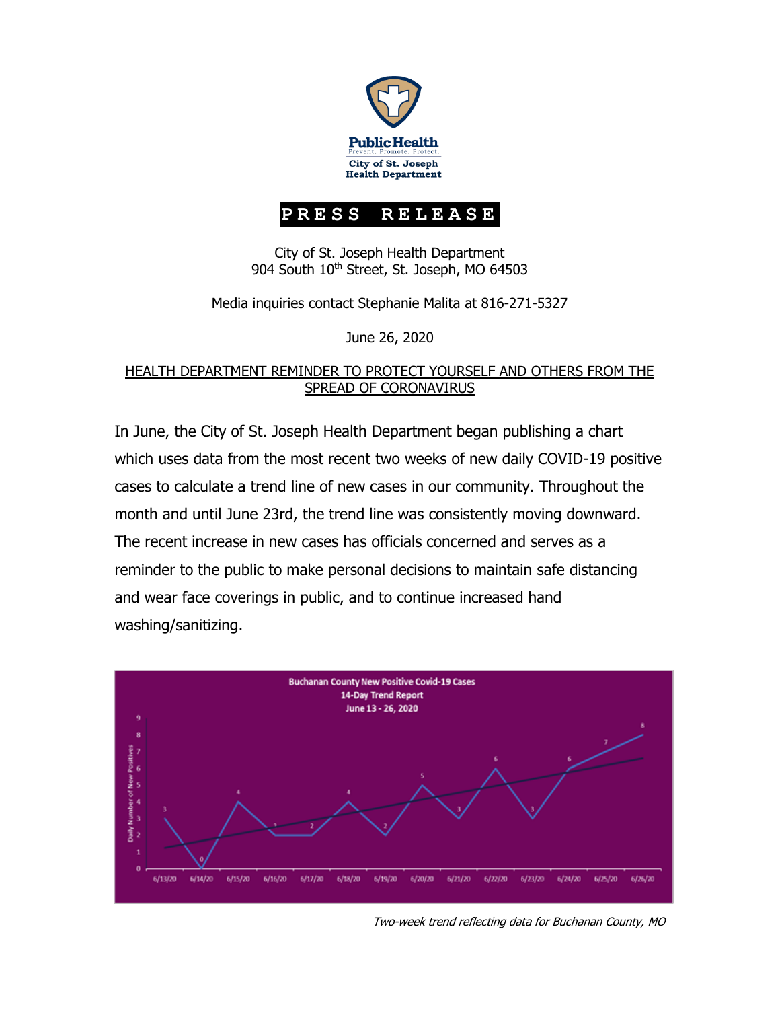

## **PRESS RELEASE**

City of St. Joseph Health Department 904 South 10<sup>th</sup> Street, St. Joseph, MO 64503

Media inquiries contact Stephanie Malita at 816-271-5327

June 26, 2020

## HEALTH DEPARTMENT REMINDER TO PROTECT YOURSELF AND OTHERS FROM THE SPREAD OF CORONAVIRUS

In June, the City of St. Joseph Health Department began publishing a chart which uses data from the most recent two weeks of new daily COVID-19 positive cases to calculate a trend line of new cases in our community. Throughout the month and until June 23rd, the trend line was consistently moving downward. The recent increase in new cases has officials concerned and serves as a reminder to the public to make personal decisions to maintain safe distancing and wear face coverings in public, and to continue increased hand washing/sanitizing.



Two-week trend reflecting data for Buchanan County, MO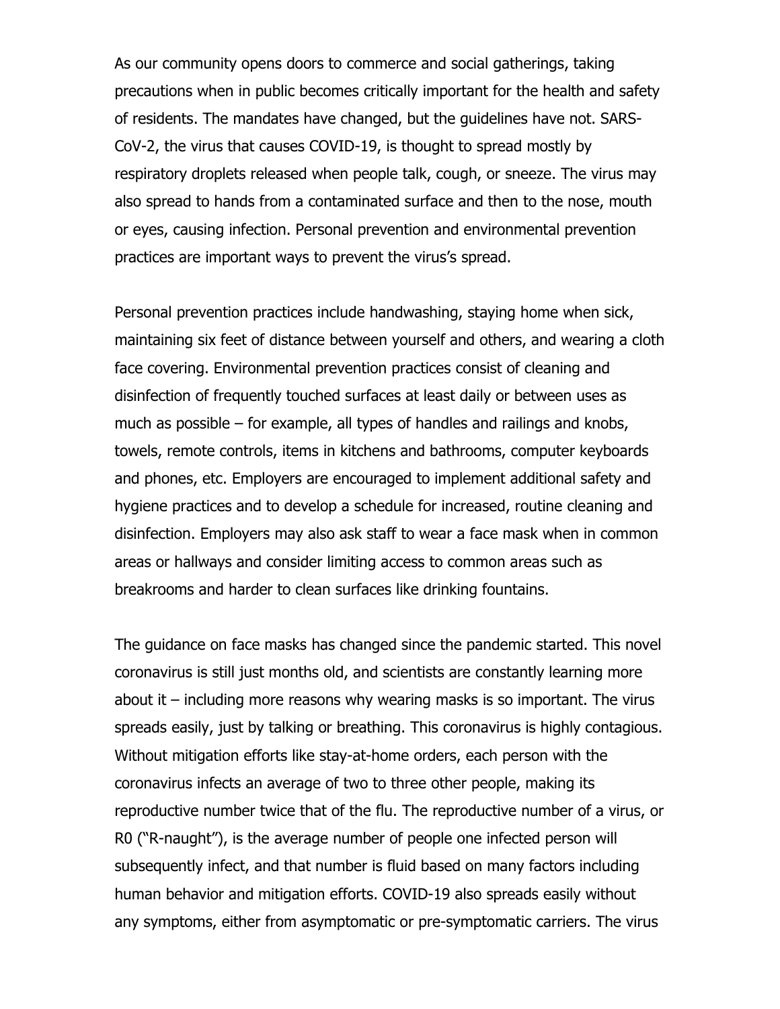As our community opens doors to commerce and social gatherings, taking precautions when in public becomes critically important for the health and safety of residents. The mandates have changed, but the guidelines have not. SARS-CoV-2, the virus that causes COVID-19, is thought to spread mostly by respiratory droplets released when people talk, cough, or sneeze. The virus may also spread to hands from a contaminated surface and then to the nose, mouth or eyes, causing infection. Personal prevention and environmental prevention practices are important ways to prevent the virus's spread.

Personal prevention practices include handwashing, staying home when sick, maintaining six feet of distance between yourself and others, and wearing a cloth face covering. Environmental prevention practices consist of cleaning and disinfection of frequently touched surfaces at least daily or between uses as much as possible – for example, all types of handles and railings and knobs, towels, remote controls, items in kitchens and bathrooms, computer keyboards and phones, etc. Employers are encouraged to implement additional safety and hygiene practices and to develop a schedule for increased, routine cleaning and disinfection. Employers may also ask staff to wear a face mask when in common areas or hallways and consider limiting access to common areas such as breakrooms and harder to clean surfaces like drinking fountains.

The guidance on face masks has changed since the pandemic started. This novel coronavirus is still just months old, and scientists are constantly learning more about it – including more reasons why wearing masks is so important. The virus spreads easily, just by talking or breathing. This coronavirus is highly contagious. Without mitigation efforts like stay-at-home orders, each person with the coronavirus infects an average of two to three other people, making its reproductive number twice that of the flu. The reproductive number of a virus, or R0 ("R-naught"), is the average number of people one infected person will subsequently infect, and that number is fluid based on many factors including human behavior and mitigation efforts. COVID-19 also spreads easily without any symptoms, either from asymptomatic or pre-symptomatic carriers. The virus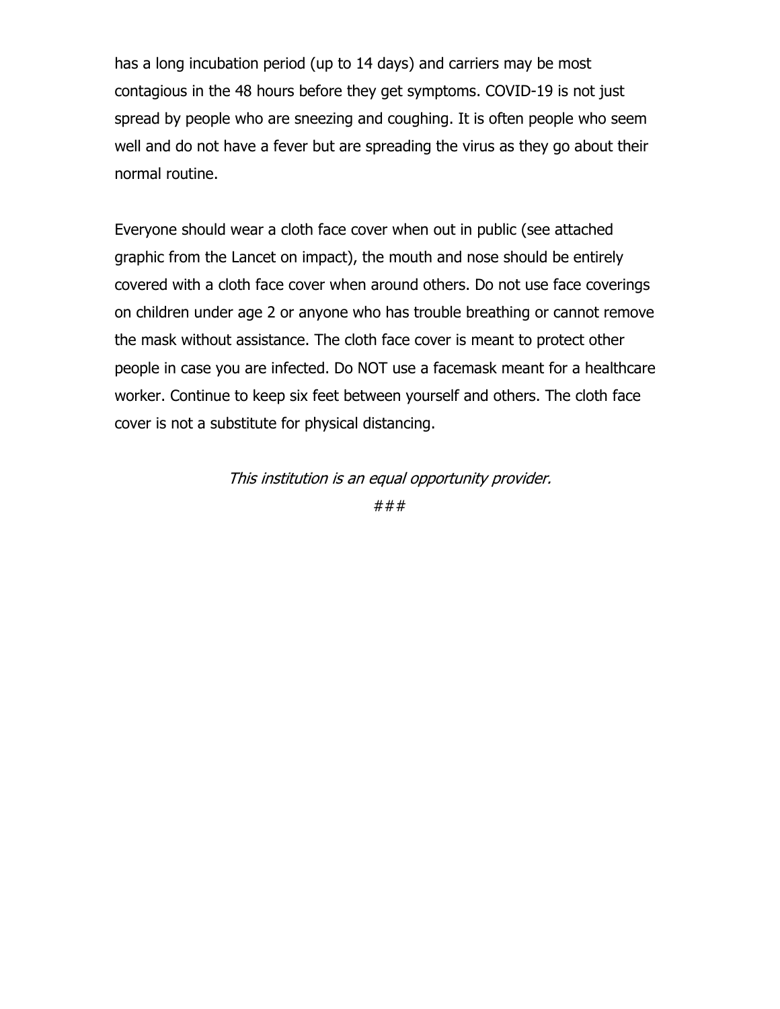has a long incubation period (up to 14 days) and carriers may be most contagious in the 48 hours before they get symptoms. COVID-19 is not just spread by people who are sneezing and coughing. It is often people who seem well and do not have a fever but are spreading the virus as they go about their normal routine.

Everyone should wear a cloth face cover when out in public (see attached graphic from the Lancet on impact), the mouth and nose should be entirely covered with a cloth face cover when around others. Do not use face coverings on children under age 2 or anyone who has trouble breathing or cannot remove the mask without assistance. The cloth face cover is meant to protect other people in case you are infected. Do NOT use a facemask meant for a healthcare worker. Continue to keep six feet between yourself and others. The cloth face cover is not a substitute for physical distancing.

This institution is an equal opportunity provider.

###